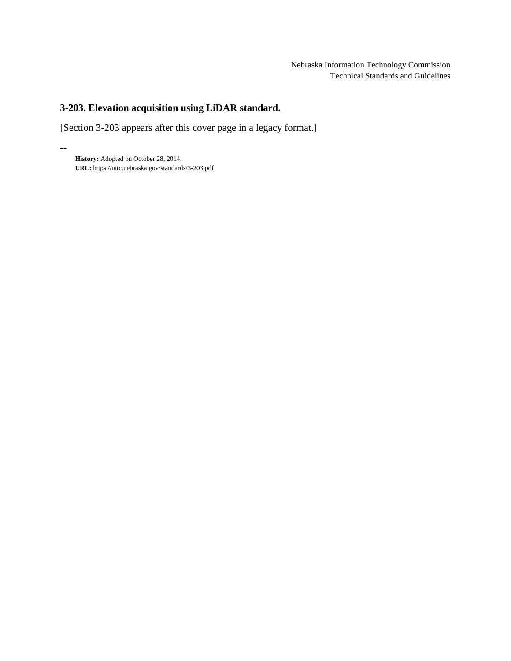# **3-203. Elevation acquisition using LiDAR standard.**

[Section 3-203 appears after this cover page in a legacy format.]

**History:** Adopted on October 28, 2014. **URL:** <https://nitc.nebraska.gov/standards/3-203.pdf>

--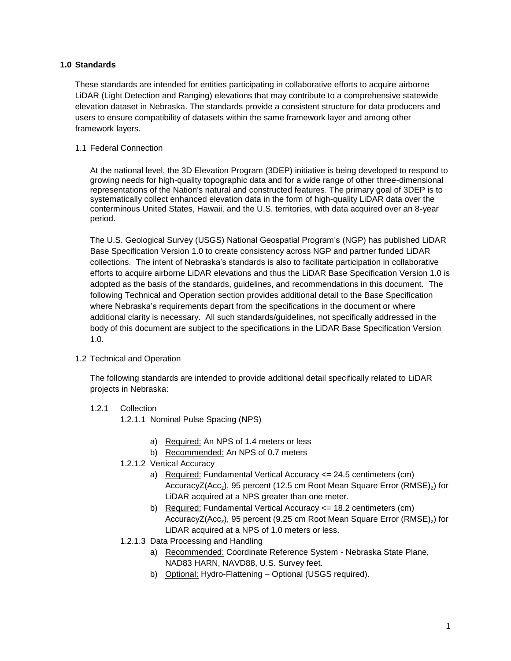### **1.0 Standards**

These standards are intended for entities participating in collaborative efforts to acquire airborne LiDAR (Light Detection and Ranging) elevations that may contribute to a comprehensive statewide elevation dataset in Nebraska. The standards provide a consistent structure for data producers and users to ensure compatibility of datasets within the same framework layer and among other framework layers.

### 1.1 Federal Connection

At the national level, the 3D Elevation Program (3DEP) initiative is being developed to respond to growing needs for high-quality topographic data and for a wide range of other three-dimensional representations of the Nation's natural and constructed features. The primary goal of 3DEP is to systematically collect enhanced elevation data in the form of high-quality LiDAR data over the conterminous United States, Hawaii, and the U.S. territories, with data acquired over an 8-year period.

The U.S. Geological Survey (USGS) National Geospatial Program's (NGP) has published LiDAR Base Specification Version 1.0 to create consistency across NGP and partner funded LiDAR collections. The intent of Nebraska's standards is also to facilitate participation in collaborative efforts to acquire airborne LiDAR elevations and thus the LiDAR Base Specification Version 1.0 is adopted as the basis of the standards, guidelines, and recommendations in this document. The following Technical and Operation section provides additional detail to the Base Specification where Nebraska's requirements depart from the specifications in the document or where additional clarity is necessary. All such standards/guidelines, not specifically addressed in the body of this document are subject to the specifications in the LiDAR Base Specification Version 1.0.

### 1.2 Technical and Operation

The following standards are intended to provide additional detail specifically related to LiDAR projects in Nebraska:

# 1.2.1 Collection

1.2.1.1 Nominal Pulse Spacing (NPS)

- a) Required: An NPS of 1.4 meters or less
- b) Recommended: An NPS of 0.7 meters
- 1.2.1.2 Vertical Accuracy
	- a) Required: Fundamental Vertical Accuracy <= 24.5 centimeters (cm) AccuracyZ(Acc<sub>z</sub>), 95 percent (12.5 cm Root Mean Square Error (RMSE)<sub>z</sub>) for LiDAR acquired at a NPS greater than one meter.
	- b) Required: Fundamental Vertical Accuracy <= 18.2 centimeters (cm) AccuracyZ(Acc<sub>z</sub>), 95 percent (9.25 cm Root Mean Square Error (RMSE)<sub>z</sub>) for LiDAR acquired at a NPS of 1.0 meters or less.
- 1.2.1.3 Data Processing and Handling
	- a) Recommended: Coordinate Reference System Nebraska State Plane, NAD83 HARN, NAVD88, U.S. Survey feet.
	- b) Optional: Hydro-Flattening Optional (USGS required).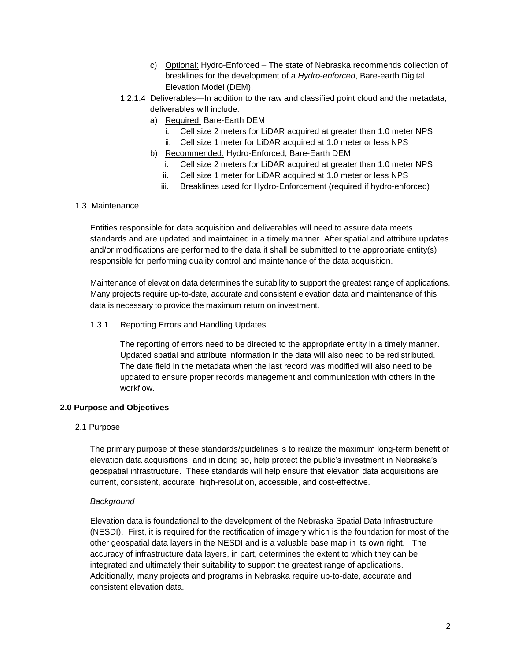- c) Optional: Hydro-Enforced The state of Nebraska recommends collection of breaklines for the development of a *Hydro-enforced*, Bare-earth Digital Elevation Model (DEM).
- 1.2.1.4 Deliverables—In addition to the raw and classified point cloud and the metadata, deliverables will include:
	- a) Required: Bare-Earth DEM
		- i. Cell size 2 meters for LiDAR acquired at greater than 1.0 meter NPS
		- ii. Cell size 1 meter for LiDAR acquired at 1.0 meter or less NPS
	- b) Recommended: Hydro-Enforced, Bare-Earth DEM
		- i. Cell size 2 meters for LiDAR acquired at greater than 1.0 meter NPS
		- ii. Cell size 1 meter for LiDAR acquired at 1.0 meter or less NPS
		- iii. Breaklines used for Hydro-Enforcement (required if hydro-enforced)

### 1.3 Maintenance

Entities responsible for data acquisition and deliverables will need to assure data meets standards and are updated and maintained in a timely manner. After spatial and attribute updates and/or modifications are performed to the data it shall be submitted to the appropriate entity(s) responsible for performing quality control and maintenance of the data acquisition.

Maintenance of elevation data determines the suitability to support the greatest range of applications. Many projects require up-to-date, accurate and consistent elevation data and maintenance of this data is necessary to provide the maximum return on investment.

1.3.1 Reporting Errors and Handling Updates

The reporting of errors need to be directed to the appropriate entity in a timely manner. Updated spatial and attribute information in the data will also need to be redistributed. The date field in the metadata when the last record was modified will also need to be updated to ensure proper records management and communication with others in the workflow.

### **2.0 Purpose and Objectives**

2.1 Purpose

The primary purpose of these standards/guidelines is to realize the maximum long-term benefit of elevation data acquisitions, and in doing so, help protect the public's investment in Nebraska's geospatial infrastructure. These standards will help ensure that elevation data acquisitions are current, consistent, accurate, high-resolution, accessible, and cost-effective.

#### *Background*

Elevation data is foundational to the development of the Nebraska Spatial Data Infrastructure (NESDI). First, it is required for the rectification of imagery which is the foundation for most of the other geospatial data layers in the NESDI and is a valuable base map in its own right. The accuracy of infrastructure data layers, in part, determines the extent to which they can be integrated and ultimately their suitability to support the greatest range of applications. Additionally, many projects and programs in Nebraska require up-to-date, accurate and consistent elevation data.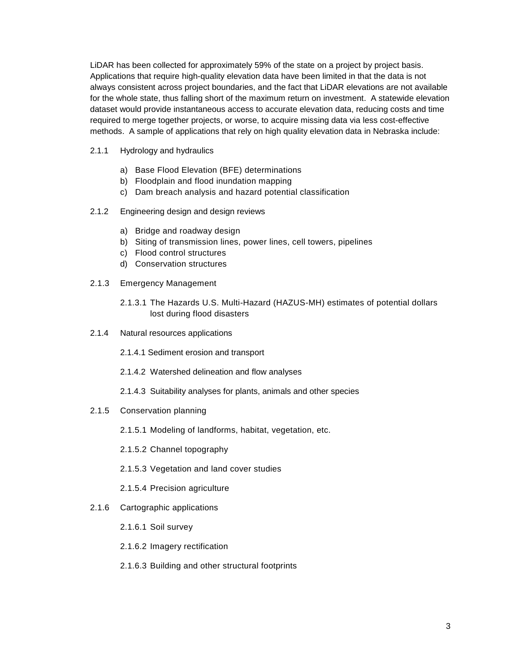LiDAR has been collected for approximately 59% of the state on a project by project basis. Applications that require high-quality elevation data have been limited in that the data is not always consistent across project boundaries, and the fact that LiDAR elevations are not available for the whole state, thus falling short of the maximum return on investment. A statewide elevation dataset would provide instantaneous access to accurate elevation data, reducing costs and time required to merge together projects, or worse, to acquire missing data via less cost-effective methods. A sample of applications that rely on high quality elevation data in Nebraska include:

- 2.1.1 Hydrology and hydraulics
	- a) Base Flood Elevation (BFE) determinations
	- b) Floodplain and flood inundation mapping
	- c) Dam breach analysis and hazard potential classification
- 2.1.2 Engineering design and design reviews
	- a) Bridge and roadway design
	- b) Siting of transmission lines, power lines, cell towers, pipelines
	- c) Flood control structures
	- d) Conservation structures
- 2.1.3 Emergency Management
	- 2.1.3.1 The Hazards U.S. Multi-Hazard (HAZUS-MH) estimates of potential dollars lost during flood disasters
- 2.1.4 Natural resources applications
	- 2.1.4.1 Sediment erosion and transport
	- 2.1.4.2 Watershed delineation and flow analyses
	- 2.1.4.3 Suitability analyses for plants, animals and other species
- 2.1.5 Conservation planning
	- 2.1.5.1 Modeling of landforms, habitat, vegetation, etc.
	- 2.1.5.2 Channel topography
	- 2.1.5.3 Vegetation and land cover studies
	- 2.1.5.4 Precision agriculture
- 2.1.6 Cartographic applications
	- 2.1.6.1 Soil survey
	- 2.1.6.2 Imagery rectification
	- 2.1.6.3 Building and other structural footprints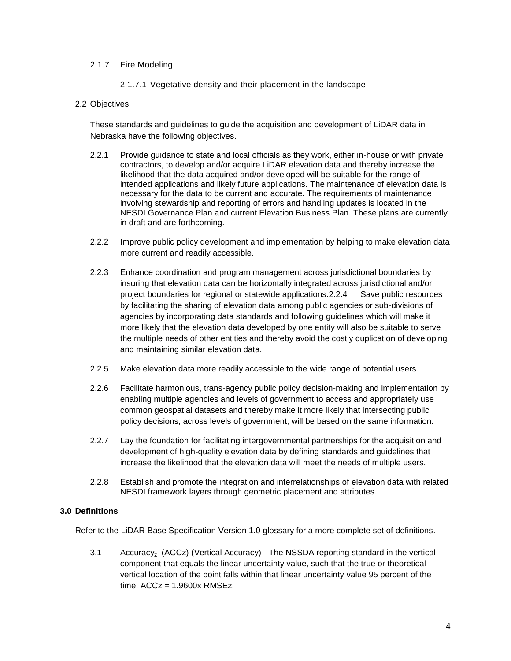### 2.1.7 Fire Modeling

2.1.7.1 Vegetative density and their placement in the landscape

### 2.2 Objectives

These standards and guidelines to guide the acquisition and development of LiDAR data in Nebraska have the following objectives.

- 2.2.1 Provide guidance to state and local officials as they work, either in-house or with private contractors, to develop and/or acquire LiDAR elevation data and thereby increase the likelihood that the data acquired and/or developed will be suitable for the range of intended applications and likely future applications. The maintenance of elevation data is necessary for the data to be current and accurate. The requirements of maintenance involving stewardship and reporting of errors and handling updates is located in the NESDI Governance Plan and current Elevation Business Plan. These plans are currently in draft and are forthcoming.
- 2.2.2 Improve public policy development and implementation by helping to make elevation data more current and readily accessible.
- 2.2.3 Enhance coordination and program management across jurisdictional boundaries by insuring that elevation data can be horizontally integrated across jurisdictional and/or project boundaries for regional or statewide applications.2.2.4 Save public resources by facilitating the sharing of elevation data among public agencies or sub-divisions of agencies by incorporating data standards and following guidelines which will make it more likely that the elevation data developed by one entity will also be suitable to serve the multiple needs of other entities and thereby avoid the costly duplication of developing and maintaining similar elevation data.
- 2.2.5 Make elevation data more readily accessible to the wide range of potential users.
- 2.2.6 Facilitate harmonious, trans-agency public policy decision-making and implementation by enabling multiple agencies and levels of government to access and appropriately use common geospatial datasets and thereby make it more likely that intersecting public policy decisions, across levels of government, will be based on the same information.
- 2.2.7 Lay the foundation for facilitating intergovernmental partnerships for the acquisition and development of high-quality elevation data by defining standards and guidelines that increase the likelihood that the elevation data will meet the needs of multiple users.
- 2.2.8 Establish and promote the integration and interrelationships of elevation data with related NESDI framework layers through geometric placement and attributes.

#### **3.0 Definitions**

Refer to the LiDAR Base Specification Version 1.0 glossary for a more complete set of definitions.

3.1 Accuracyz (ACCz) (Vertical Accuracy) - The NSSDA reporting standard in the vertical component that equals the linear uncertainty value, such that the true or theoretical vertical location of the point falls within that linear uncertainty value 95 percent of the time.  $ACCz = 1.9600x$  RMSEz.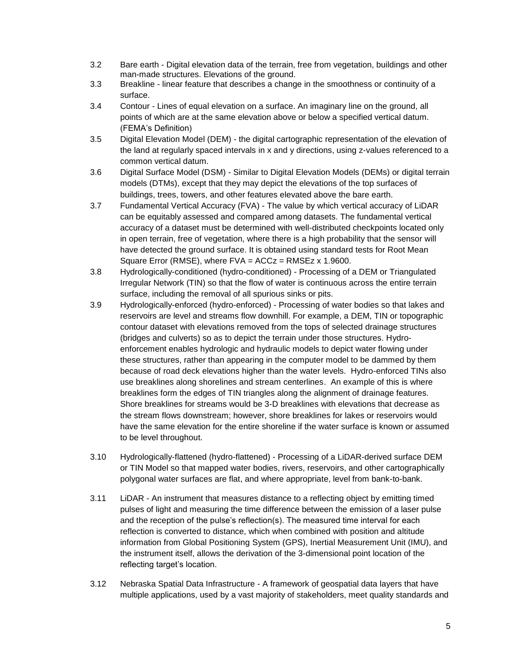- 3.2 Bare earth Digital elevation data of the terrain, free from vegetation, buildings and other man-made structures. Elevations of the ground.
- 3.3 Breakline linear feature that describes a change in the smoothness or continuity of a surface.
- 3.4 Contour Lines of equal elevation on a surface. An imaginary line on the ground, all points of which are at the same elevation above or below a specified vertical datum. (FEMA's Definition)
- 3.5 Digital Elevation Model (DEM) the digital cartographic representation of the elevation of the land at regularly spaced intervals in x and y directions, using z-values referenced to a common vertical datum.
- 3.6 Digital Surface Model (DSM) Similar to Digital Elevation Models (DEMs) or digital terrain models (DTMs), except that they may depict the elevations of the top surfaces of buildings, trees, towers, and other features elevated above the bare earth.
- 3.7 Fundamental Vertical Accuracy (FVA) The value by which vertical accuracy of LiDAR can be equitably assessed and compared among datasets. The fundamental vertical accuracy of a dataset must be determined with well-distributed checkpoints located only in open terrain, free of vegetation, where there is a high probability that the sensor will have detected the ground surface. It is obtained using standard tests for Root Mean Square Error (RMSE), where  $FVA = ACCz = RMSEz \times 1.9600$ .
- 3.8 Hydrologically-conditioned (hydro-conditioned) Processing of a DEM or Triangulated Irregular Network (TIN) so that the flow of water is continuous across the entire terrain surface, including the removal of all spurious sinks or pits.
- 3.9 Hydrologically-enforced (hydro-enforced) Processing of water bodies so that lakes and reservoirs are level and streams flow downhill. For example, a DEM, TIN or topographic contour dataset with elevations removed from the tops of selected drainage structures (bridges and culverts) so as to depict the terrain under those structures. Hydroenforcement enables hydrologic and hydraulic models to depict water flowing under these structures, rather than appearing in the computer model to be dammed by them because of road deck elevations higher than the water levels. Hydro-enforced TINs also use breaklines along shorelines and stream centerlines. An example of this is where breaklines form the edges of TIN triangles along the alignment of drainage features. Shore breaklines for streams would be 3-D breaklines with elevations that decrease as the stream flows downstream; however, shore breaklines for lakes or reservoirs would have the same elevation for the entire shoreline if the water surface is known or assumed to be level throughout.
- 3.10 Hydrologically-flattened (hydro-flattened) Processing of a LiDAR-derived surface DEM or TIN Model so that mapped water bodies, rivers, reservoirs, and other cartographically polygonal water surfaces are flat, and where appropriate, level from bank-to-bank.
- 3.11 LiDAR An instrument that measures distance to a reflecting object by emitting timed pulses of light and measuring the time difference between the emission of a laser pulse and the reception of the pulse's reflection(s). The measured time interval for each reflection is converted to distance, which when combined with position and altitude information from Global Positioning System (GPS), Inertial Measurement Unit (IMU), and the instrument itself, allows the derivation of the 3-dimensional point location of the reflecting target's location.
- 3.12 Nebraska Spatial Data Infrastructure A framework of geospatial data layers that have multiple applications, used by a vast majority of stakeholders, meet quality standards and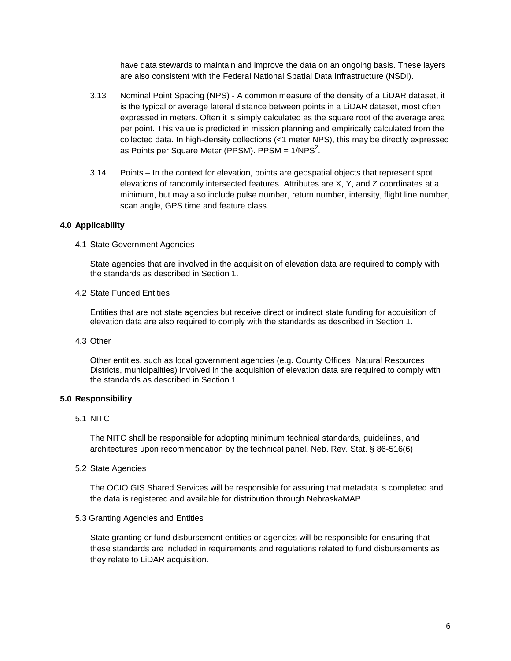have data stewards to maintain and improve the data on an ongoing basis. These layers are also consistent with the Federal National Spatial Data Infrastructure (NSDI).

- 3.13 Nominal Point Spacing (NPS) A common measure of the density of a LiDAR dataset, it is the typical or average lateral distance between points in a LiDAR dataset, most often expressed in meters. Often it is simply calculated as the square root of the average area per point. This value is predicted in mission planning and empirically calculated from the collected data. In high-density collections (<1 meter NPS), this may be directly expressed as Points per Square Meter (PPSM). PPSM = 1/NPS $^2$ .
- 3.14 Points In the context for elevation, points are geospatial objects that represent spot elevations of randomly intersected features. Attributes are X, Y, and Z coordinates at a minimum, but may also include pulse number, return number, intensity, flight line number, scan angle, GPS time and feature class.

#### **4.0 Applicability**

4.1 State Government Agencies

State agencies that are involved in the acquisition of elevation data are required to comply with the standards as described in Section 1.

4.2 State Funded Entities

Entities that are not state agencies but receive direct or indirect state funding for acquisition of elevation data are also required to comply with the standards as described in Section 1.

4.3 Other

Other entities, such as local government agencies (e.g. County Offices, Natural Resources Districts, municipalities) involved in the acquisition of elevation data are required to comply with the standards as described in Section 1.

#### **5.0 Responsibility**

5.1 NITC

The NITC shall be responsible for adopting minimum technical standards, guidelines, and architectures upon recommendation by the technical panel. Neb. Rev. Stat. § 86-516(6)

5.2 State Agencies

The OCIO GIS Shared Services will be responsible for assuring that metadata is completed and the data is registered and available for distribution through NebraskaMAP.

#### 5.3 Granting Agencies and Entities

State granting or fund disbursement entities or agencies will be responsible for ensuring that these standards are included in requirements and regulations related to fund disbursements as they relate to LiDAR acquisition.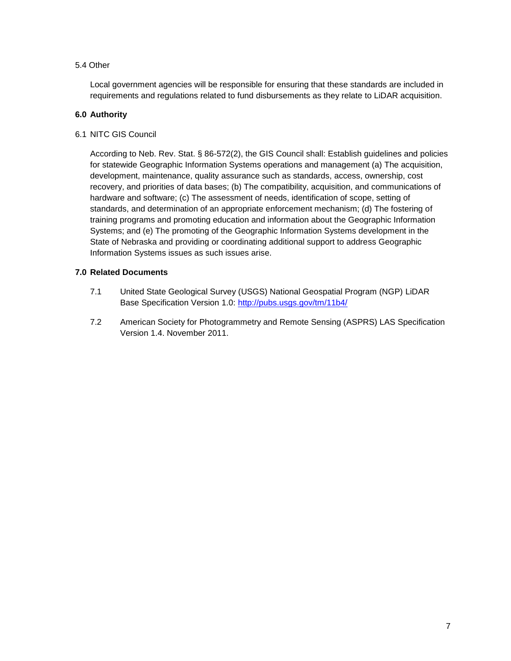### 5.4 Other

Local government agencies will be responsible for ensuring that these standards are included in requirements and regulations related to fund disbursements as they relate to LiDAR acquisition.

### **6.0 Authority**

6.1 NITC GIS Council

According to Neb. Rev. Stat. § 86-572(2), the GIS Council shall: Establish guidelines and policies for statewide Geographic Information Systems operations and management (a) The acquisition, development, maintenance, quality assurance such as standards, access, ownership, cost recovery, and priorities of data bases; (b) The compatibility, acquisition, and communications of hardware and software; (c) The assessment of needs, identification of scope, setting of standards, and determination of an appropriate enforcement mechanism; (d) The fostering of training programs and promoting education and information about the Geographic Information Systems; and (e) The promoting of the Geographic Information Systems development in the State of Nebraska and providing or coordinating additional support to address Geographic Information Systems issues as such issues arise.

### **7.0 Related Documents**

- 7.1 United State Geological Survey (USGS) National Geospatial Program (NGP) LiDAR Base Specification Version 1.0:<http://pubs.usgs.gov/tm/11b4/>
- 7.2 American Society for Photogrammetry and Remote Sensing (ASPRS) LAS Specification Version 1.4. November 2011.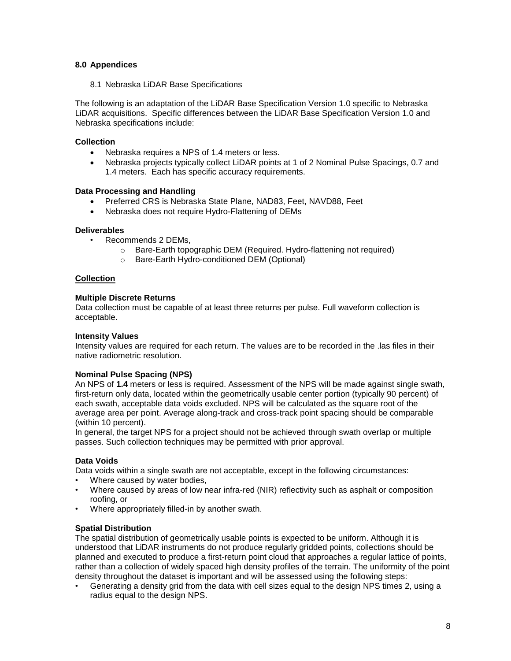### **8.0 Appendices**

8.1 Nebraska LiDAR Base Specifications

The following is an adaptation of the LiDAR Base Specification Version 1.0 specific to Nebraska LiDAR acquisitions. Specific differences between the LiDAR Base Specification Version 1.0 and Nebraska specifications include:

### **Collection**

- Nebraska requires a NPS of 1.4 meters or less.
- Nebraska projects typically collect LiDAR points at 1 of 2 Nominal Pulse Spacings, 0.7 and 1.4 meters. Each has specific accuracy requirements.

### **Data Processing and Handling**

- Preferred CRS is Nebraska State Plane, NAD83, Feet, NAVD88, Feet
- Nebraska does not require Hydro-Flattening of DEMs

### **Deliverables**

- Recommends 2 DEMs,
	- o Bare-Earth topographic DEM (Required. Hydro-flattening not required)
	- o Bare-Earth Hydro-conditioned DEM (Optional)

### **Collection**

### **Multiple Discrete Returns**

Data collection must be capable of at least three returns per pulse. Full waveform collection is acceptable.

### **Intensity Values**

Intensity values are required for each return. The values are to be recorded in the .las files in their native radiometric resolution.

### **Nominal Pulse Spacing (NPS)**

An NPS of **1.4** meters or less is required. Assessment of the NPS will be made against single swath, first-return only data, located within the geometrically usable center portion (typically 90 percent) of each swath, acceptable data voids excluded. NPS will be calculated as the square root of the average area per point. Average along-track and cross-track point spacing should be comparable (within 10 percent).

In general, the target NPS for a project should not be achieved through swath overlap or multiple passes. Such collection techniques may be permitted with prior approval.

### **Data Voids**

Data voids within a single swath are not acceptable, except in the following circumstances:

- Where caused by water bodies.
- Where caused by areas of low near infra-red (NIR) reflectivity such as asphalt or composition roofing, or
- Where appropriately filled-in by another swath.

### **Spatial Distribution**

The spatial distribution of geometrically usable points is expected to be uniform. Although it is understood that LiDAR instruments do not produce regularly gridded points, collections should be planned and executed to produce a first-return point cloud that approaches a regular lattice of points, rather than a collection of widely spaced high density profiles of the terrain. The uniformity of the point density throughout the dataset is important and will be assessed using the following steps:

• Generating a density grid from the data with cell sizes equal to the design NPS times 2, using a radius equal to the design NPS.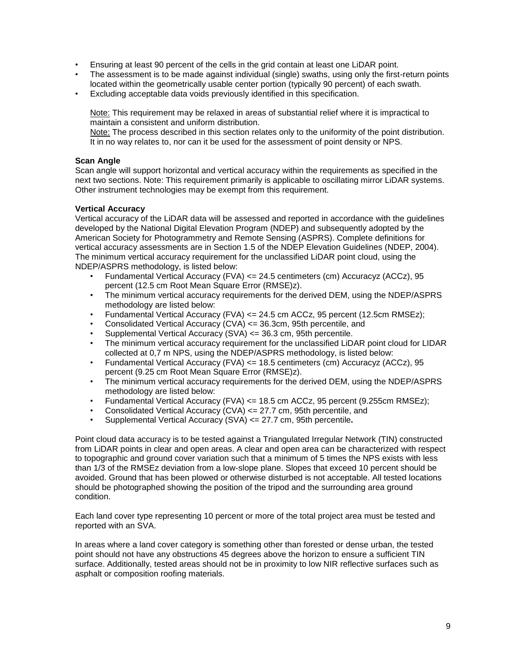- Ensuring at least 90 percent of the cells in the grid contain at least one LiDAR point.
- The assessment is to be made against individual (single) swaths, using only the first-return points located within the geometrically usable center portion (typically 90 percent) of each swath.
- Excluding acceptable data voids previously identified in this specification.

Note: This requirement may be relaxed in areas of substantial relief where it is impractical to maintain a consistent and uniform distribution.

Note: The process described in this section relates only to the uniformity of the point distribution. It in no way relates to, nor can it be used for the assessment of point density or NPS.

### **Scan Angle**

Scan angle will support horizontal and vertical accuracy within the requirements as specified in the next two sections. Note: This requirement primarily is applicable to oscillating mirror LiDAR systems. Other instrument technologies may be exempt from this requirement.

### **Vertical Accuracy**

Vertical accuracy of the LiDAR data will be assessed and reported in accordance with the guidelines developed by the National Digital Elevation Program (NDEP) and subsequently adopted by the American Society for Photogrammetry and Remote Sensing (ASPRS). Complete definitions for vertical accuracy assessments are in Section 1.5 of the NDEP Elevation Guidelines (NDEP, 2004). The minimum vertical accuracy requirement for the unclassified LiDAR point cloud, using the NDEP/ASPRS methodology, is listed below:

- Fundamental Vertical Accuracy (FVA) <= 24.5 centimeters (cm) Accuracyz (ACCz), 95 percent (12.5 cm Root Mean Square Error (RMSE)z).
- The minimum vertical accuracy requirements for the derived DEM, using the NDEP/ASPRS methodology are listed below:
- Fundamental Vertical Accuracy (FVA)  $\leq$  24.5 cm ACCz, 95 percent (12.5cm RMSEz);
- Consolidated Vertical Accuracy (CVA)  $\leq$  36.3cm, 95th percentile, and
- Supplemental Vertical Accuracy (SVA) <= 36.3 cm, 95th percentile.
- The minimum vertical accuracy requirement for the unclassified LiDAR point cloud for LIDAR collected at 0,7 m NPS, using the NDEP/ASPRS methodology, is listed below:
- Fundamental Vertical Accuracy (FVA) <= 18.5 centimeters (cm) Accuracyz (ACCz), 95 percent (9.25 cm Root Mean Square Error (RMSE)z).
- The minimum vertical accuracy requirements for the derived DEM, using the NDEP/ASPRS methodology are listed below:
- Fundamental Vertical Accuracy (FVA) <= 18.5 cm ACCz, 95 percent (9.255cm RMSEz);
- Consolidated Vertical Accuracy (CVA) <= 27.7 cm, 95th percentile, and
- Supplemental Vertical Accuracy (SVA) <= 27.7 cm, 95th percentile**.**

Point cloud data accuracy is to be tested against a Triangulated Irregular Network (TIN) constructed from LiDAR points in clear and open areas. A clear and open area can be characterized with respect to topographic and ground cover variation such that a minimum of 5 times the NPS exists with less than 1/3 of the RMSEz deviation from a low-slope plane. Slopes that exceed 10 percent should be avoided. Ground that has been plowed or otherwise disturbed is not acceptable. All tested locations should be photographed showing the position of the tripod and the surrounding area ground condition.

Each land cover type representing 10 percent or more of the total project area must be tested and reported with an SVA.

In areas where a land cover category is something other than forested or dense urban, the tested point should not have any obstructions 45 degrees above the horizon to ensure a sufficient TIN surface. Additionally, tested areas should not be in proximity to low NIR reflective surfaces such as asphalt or composition roofing materials.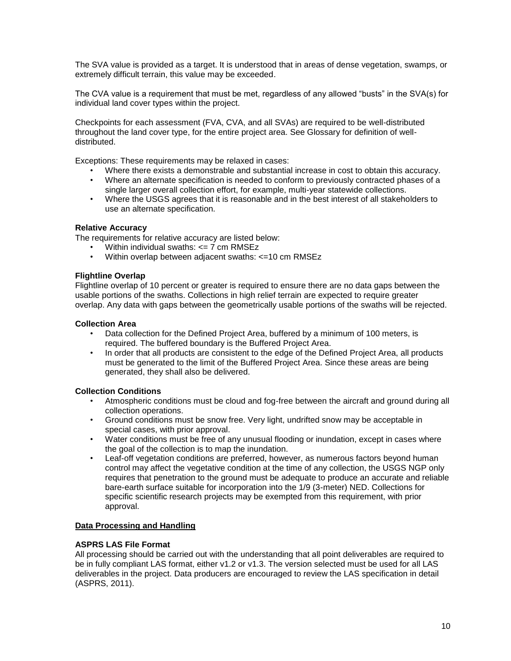The SVA value is provided as a target. It is understood that in areas of dense vegetation, swamps, or extremely difficult terrain, this value may be exceeded.

The CVA value is a requirement that must be met, regardless of any allowed "busts" in the SVA(s) for individual land cover types within the project.

Checkpoints for each assessment (FVA, CVA, and all SVAs) are required to be well-distributed throughout the land cover type, for the entire project area. See Glossary for definition of welldistributed.

Exceptions: These requirements may be relaxed in cases:

- Where there exists a demonstrable and substantial increase in cost to obtain this accuracy.
- Where an alternate specification is needed to conform to previously contracted phases of a single larger overall collection effort, for example, multi-year statewide collections.
- Where the USGS agrees that it is reasonable and in the best interest of all stakeholders to use an alternate specification.

#### **Relative Accuracy**

The requirements for relative accuracy are listed below:

- Within individual swaths:  $\leq$  7 cm RMSEz
- Within overlap between adjacent swaths: <=10 cm RMSEz

#### **Flightline Overlap**

Flightline overlap of 10 percent or greater is required to ensure there are no data gaps between the usable portions of the swaths. Collections in high relief terrain are expected to require greater overlap. Any data with gaps between the geometrically usable portions of the swaths will be rejected.

#### **Collection Area**

- Data collection for the Defined Project Area, buffered by a minimum of 100 meters, is required. The buffered boundary is the Buffered Project Area.
- In order that all products are consistent to the edge of the Defined Project Area, all products must be generated to the limit of the Buffered Project Area. Since these areas are being generated, they shall also be delivered.

#### **Collection Conditions**

- Atmospheric conditions must be cloud and fog-free between the aircraft and ground during all collection operations.
- Ground conditions must be snow free. Very light, undrifted snow may be acceptable in special cases, with prior approval.
- Water conditions must be free of any unusual flooding or inundation, except in cases where the goal of the collection is to map the inundation.
- Leaf-off vegetation conditions are preferred, however, as numerous factors beyond human control may affect the vegetative condition at the time of any collection, the USGS NGP only requires that penetration to the ground must be adequate to produce an accurate and reliable bare-earth surface suitable for incorporation into the 1/9 (3-meter) NED. Collections for specific scientific research projects may be exempted from this requirement, with prior approval.

#### **Data Processing and Handling**

#### **ASPRS LAS File Format**

All processing should be carried out with the understanding that all point deliverables are required to be in fully compliant LAS format, either v1.2 or v1.3. The version selected must be used for all LAS deliverables in the project. Data producers are encouraged to review the LAS specification in detail (ASPRS, 2011).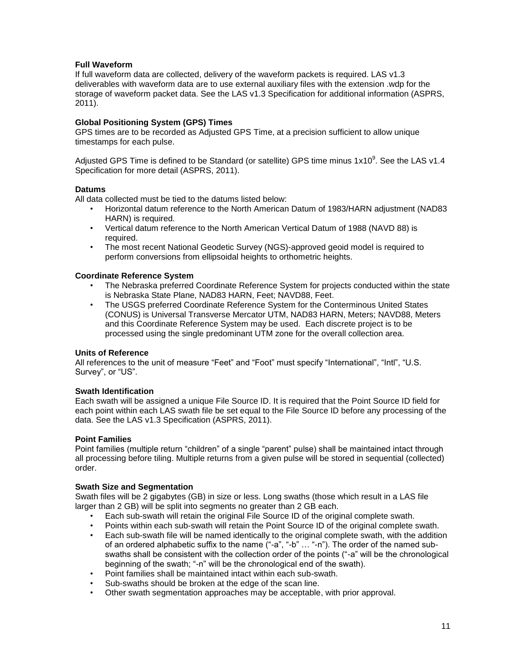### **Full Waveform**

If full waveform data are collected, delivery of the waveform packets is required. LAS v1.3 deliverables with waveform data are to use external auxiliary files with the extension .wdp for the storage of waveform packet data. See the LAS v1.3 Specification for additional information (ASPRS, 2011).

### **Global Positioning System (GPS) Times**

GPS times are to be recorded as Adjusted GPS Time, at a precision sufficient to allow unique timestamps for each pulse.

Adjusted GPS Time is defined to be Standard (or satellite) GPS time minus 1x10<sup>9</sup>. See the LAS v1.4 Specification for more detail (ASPRS, 2011).

#### **Datums**

All data collected must be tied to the datums listed below:

- Horizontal datum reference to the North American Datum of 1983/HARN adjustment (NAD83 HARN) is required.
- Vertical datum reference to the North American Vertical Datum of 1988 (NAVD 88) is required.
- The most recent National Geodetic Survey (NGS)-approved geoid model is required to perform conversions from ellipsoidal heights to orthometric heights.

#### **Coordinate Reference System**

- The Nebraska preferred Coordinate Reference System for projects conducted within the state is Nebraska State Plane, NAD83 HARN, Feet; NAVD88, Feet.
- The USGS preferred Coordinate Reference System for the Conterminous United States (CONUS) is Universal Transverse Mercator UTM, NAD83 HARN, Meters; NAVD88, Meters and this Coordinate Reference System may be used. Each discrete project is to be processed using the single predominant UTM zone for the overall collection area.

#### **Units of Reference**

All references to the unit of measure "Feet" and "Foot" must specify "International", "Intl", "U.S. Survey", or "US".

#### **Swath Identification**

Each swath will be assigned a unique File Source ID. It is required that the Point Source ID field for each point within each LAS swath file be set equal to the File Source ID before any processing of the data. See the LAS v1.3 Specification (ASPRS, 2011).

#### **Point Families**

Point families (multiple return "children" of a single "parent" pulse) shall be maintained intact through all processing before tiling. Multiple returns from a given pulse will be stored in sequential (collected) order.

#### **Swath Size and Segmentation**

Swath files will be 2 gigabytes (GB) in size or less. Long swaths (those which result in a LAS file larger than 2 GB) will be split into segments no greater than 2 GB each.

- Each sub-swath will retain the original File Source ID of the original complete swath.
- Points within each sub-swath will retain the Point Source ID of the original complete swath.
- Each sub-swath file will be named identically to the original complete swath, with the addition of an ordered alphabetic suffix to the name ("-a", "-b" … "-n"). The order of the named subswaths shall be consistent with the collection order of the points ("-a" will be the chronological beginning of the swath; "-n" will be the chronological end of the swath).
- Point families shall be maintained intact within each sub-swath.
- Sub-swaths should be broken at the edge of the scan line.
- Other swath segmentation approaches may be acceptable, with prior approval.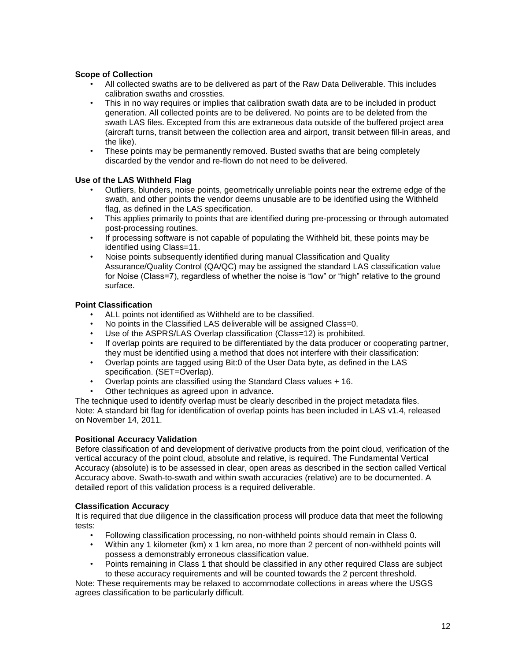### **Scope of Collection**

- All collected swaths are to be delivered as part of the Raw Data Deliverable. This includes calibration swaths and crossties.
- This in no way requires or implies that calibration swath data are to be included in product generation. All collected points are to be delivered. No points are to be deleted from the swath LAS files. Excepted from this are extraneous data outside of the buffered project area (aircraft turns, transit between the collection area and airport, transit between fill-in areas, and the like).
- These points may be permanently removed. Busted swaths that are being completely discarded by the vendor and re-flown do not need to be delivered.

#### **Use of the LAS Withheld Flag**

- Outliers, blunders, noise points, geometrically unreliable points near the extreme edge of the swath, and other points the vendor deems unusable are to be identified using the Withheld flag, as defined in the LAS specification.
- This applies primarily to points that are identified during pre-processing or through automated post-processing routines.
- If processing software is not capable of populating the Withheld bit, these points may be identified using Class=11.
- Noise points subsequently identified during manual Classification and Quality Assurance/Quality Control (QA/QC) may be assigned the standard LAS classification value for Noise (Class=7), regardless of whether the noise is "low" or "high" relative to the ground surface.

### **Point Classification**

- ALL points not identified as Withheld are to be classified.
- No points in the Classified LAS deliverable will be assigned Class=0.
- Use of the ASPRS/LAS Overlap classification (Class=12) is prohibited.
- If overlap points are required to be differentiated by the data producer or cooperating partner, they must be identified using a method that does not interfere with their classification:
- Overlap points are tagged using Bit:0 of the User Data byte, as defined in the LAS specification. (SET=Overlap).
- Overlap points are classified using the Standard Class values + 16.
- Other techniques as agreed upon in advance.

The technique used to identify overlap must be clearly described in the project metadata files. Note: A standard bit flag for identification of overlap points has been included in LAS v1.4, released on November 14, 2011.

#### **Positional Accuracy Validation**

Before classification of and development of derivative products from the point cloud, verification of the vertical accuracy of the point cloud, absolute and relative, is required. The Fundamental Vertical Accuracy (absolute) is to be assessed in clear, open areas as described in the section called Vertical Accuracy above. Swath-to-swath and within swath accuracies (relative) are to be documented. A detailed report of this validation process is a required deliverable.

#### **Classification Accuracy**

It is required that due diligence in the classification process will produce data that meet the following tests:

- Following classification processing, no non-withheld points should remain in Class 0.
- Within any 1 kilometer (km) x 1 km area, no more than 2 percent of non-withheld points will possess a demonstrably erroneous classification value.
- Points remaining in Class 1 that should be classified in any other required Class are subject to these accuracy requirements and will be counted towards the 2 percent threshold.

Note: These requirements may be relaxed to accommodate collections in areas where the USGS agrees classification to be particularly difficult.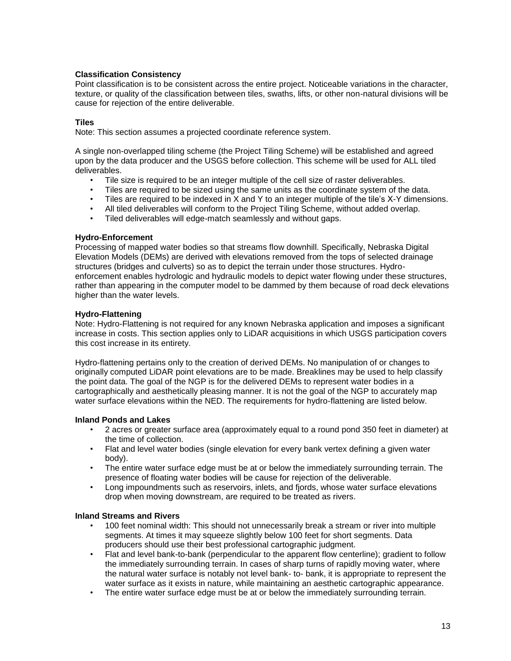### **Classification Consistency**

Point classification is to be consistent across the entire project. Noticeable variations in the character, texture, or quality of the classification between tiles, swaths, lifts, or other non-natural divisions will be cause for rejection of the entire deliverable.

#### **Tiles**

Note: This section assumes a projected coordinate reference system.

A single non-overlapped tiling scheme (the Project Tiling Scheme) will be established and agreed upon by the data producer and the USGS before collection. This scheme will be used for ALL tiled deliverables.

- Tile size is required to be an integer multiple of the cell size of raster deliverables.
- 
- Tiles are required to be sized using the same units as the coordinate system of the data.<br>• Tiles are required to be indexed in X and Y to an integer multiple of the tile's X-Y dimensity • Tiles are required to be indexed in X and Y to an integer multiple of the tile's X-Y dimensions.
- All tiled deliverables will conform to the Project Tiling Scheme, without added overlap.
- Tiled deliverables will edge-match seamlessly and without gaps.

### **Hydro-Enforcement**

Processing of mapped water bodies so that streams flow downhill. Specifically, Nebraska Digital Elevation Models (DEMs) are derived with elevations removed from the tops of selected drainage structures (bridges and culverts) so as to depict the terrain under those structures. Hydroenforcement enables hydrologic and hydraulic models to depict water flowing under these structures, rather than appearing in the computer model to be dammed by them because of road deck elevations higher than the water levels.

### **Hydro-Flattening**

Note: Hydro-Flattening is not required for any known Nebraska application and imposes a significant increase in costs. This section applies only to LiDAR acquisitions in which USGS participation covers this cost increase in its entirety.

Hydro-flattening pertains only to the creation of derived DEMs. No manipulation of or changes to originally computed LiDAR point elevations are to be made. Breaklines may be used to help classify the point data. The goal of the NGP is for the delivered DEMs to represent water bodies in a cartographically and aesthetically pleasing manner. It is not the goal of the NGP to accurately map water surface elevations within the NED. The requirements for hydro-flattening are listed below.

### **Inland Ponds and Lakes**

- 2 acres or greater surface area (approximately equal to a round pond 350 feet in diameter) at the time of collection.
- Flat and level water bodies (single elevation for every bank vertex defining a given water body).
- The entire water surface edge must be at or below the immediately surrounding terrain. The presence of floating water bodies will be cause for rejection of the deliverable.
- Long impoundments such as reservoirs, inlets, and fjords, whose water surface elevations drop when moving downstream, are required to be treated as rivers.

### **Inland Streams and Rivers**

- 100 feet nominal width: This should not unnecessarily break a stream or river into multiple segments. At times it may squeeze slightly below 100 feet for short segments. Data producers should use their best professional cartographic judgment.
- Flat and level bank-to-bank (perpendicular to the apparent flow centerline); gradient to follow the immediately surrounding terrain. In cases of sharp turns of rapidly moving water, where the natural water surface is notably not level bank- to- bank, it is appropriate to represent the water surface as it exists in nature, while maintaining an aesthetic cartographic appearance.
- The entire water surface edge must be at or below the immediately surrounding terrain.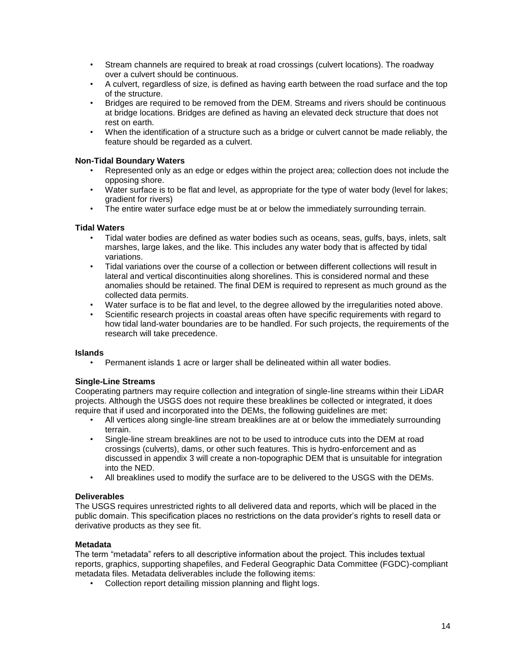- Stream channels are required to break at road crossings (culvert locations). The roadway over a culvert should be continuous.
- A culvert, regardless of size, is defined as having earth between the road surface and the top of the structure.
- Bridges are required to be removed from the DEM. Streams and rivers should be continuous at bridge locations. Bridges are defined as having an elevated deck structure that does not rest on earth.
- When the identification of a structure such as a bridge or culvert cannot be made reliably, the feature should be regarded as a culvert.

### **Non-Tidal Boundary Waters**

- Represented only as an edge or edges within the project area; collection does not include the opposing shore.
- Water surface is to be flat and level, as appropriate for the type of water body (level for lakes; gradient for rivers)
- The entire water surface edge must be at or below the immediately surrounding terrain.

#### **Tidal Waters**

- Tidal water bodies are defined as water bodies such as oceans, seas, gulfs, bays, inlets, salt marshes, large lakes, and the like. This includes any water body that is affected by tidal variations.
- Tidal variations over the course of a collection or between different collections will result in lateral and vertical discontinuities along shorelines. This is considered normal and these anomalies should be retained. The final DEM is required to represent as much ground as the collected data permits.
- Water surface is to be flat and level, to the degree allowed by the irregularities noted above.
- Scientific research projects in coastal areas often have specific requirements with regard to how tidal land-water boundaries are to be handled. For such projects, the requirements of the research will take precedence.

#### **Islands**

• Permanent islands 1 acre or larger shall be delineated within all water bodies.

#### **Single-Line Streams**

Cooperating partners may require collection and integration of single-line streams within their LiDAR projects. Although the USGS does not require these breaklines be collected or integrated, it does require that if used and incorporated into the DEMs, the following guidelines are met:

- All vertices along single-line stream breaklines are at or below the immediately surrounding terrain.
- Single-line stream breaklines are not to be used to introduce cuts into the DEM at road crossings (culverts), dams, or other such features. This is hydro-enforcement and as discussed in appendix 3 will create a non-topographic DEM that is unsuitable for integration into the NED.
- All breaklines used to modify the surface are to be delivered to the USGS with the DEMs.

#### **Deliverables**

The USGS requires unrestricted rights to all delivered data and reports, which will be placed in the public domain. This specification places no restrictions on the data provider's rights to resell data or derivative products as they see fit.

#### **Metadata**

The term "metadata" refers to all descriptive information about the project. This includes textual reports, graphics, supporting shapefiles, and Federal Geographic Data Committee (FGDC)-compliant metadata files. Metadata deliverables include the following items:

• Collection report detailing mission planning and flight logs.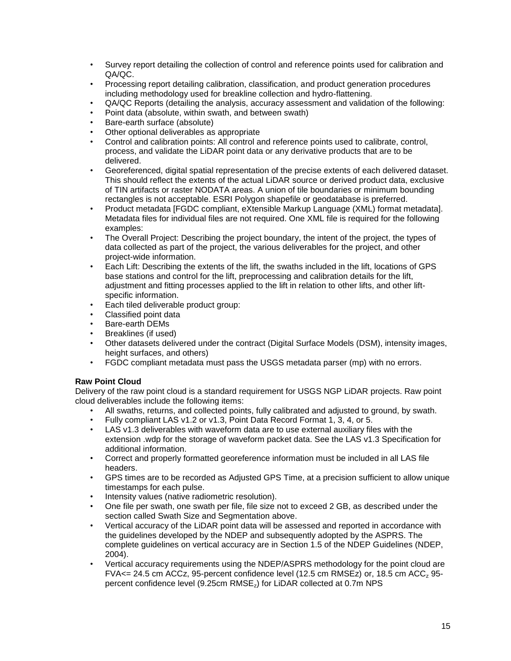- Survey report detailing the collection of control and reference points used for calibration and QA/QC.
- Processing report detailing calibration, classification, and product generation procedures including methodology used for breakline collection and hydro-flattening.
- QA/QC Reports (detailing the analysis, accuracy assessment and validation of the following:
- Point data (absolute, within swath, and between swath)
- Bare-earth surface (absolute)
- Other optional deliverables as appropriate
- Control and calibration points: All control and reference points used to calibrate, control, process, and validate the LiDAR point data or any derivative products that are to be delivered.
- Georeferenced, digital spatial representation of the precise extents of each delivered dataset. This should reflect the extents of the actual LiDAR source or derived product data, exclusive of TIN artifacts or raster NODATA areas. A union of tile boundaries or minimum bounding rectangles is not acceptable. ESRI Polygon shapefile or geodatabase is preferred.
- Product metadata [FGDC compliant, eXtensible Markup Language (XML) format metadata]. Metadata files for individual files are not required. One XML file is required for the following examples:
- The Overall Project: Describing the project boundary, the intent of the project, the types of data collected as part of the project, the various deliverables for the project, and other project-wide information.
- Each Lift: Describing the extents of the lift, the swaths included in the lift, locations of GPS base stations and control for the lift, preprocessing and calibration details for the lift, adjustment and fitting processes applied to the lift in relation to other lifts, and other liftspecific information.
- Each tiled deliverable product group:
- Classified point data
- Bare-earth DEMs
- Breaklines (if used)
- Other datasets delivered under the contract (Digital Surface Models (DSM), intensity images, height surfaces, and others)
- FGDC compliant metadata must pass the USGS metadata parser (mp) with no errors.

# **Raw Point Cloud**

Delivery of the raw point cloud is a standard requirement for USGS NGP LiDAR projects. Raw point cloud deliverables include the following items:

- All swaths, returns, and collected points, fully calibrated and adjusted to ground, by swath.
- Fully compliant LAS v1.2 or v1.3, Point Data Record Format 1, 3, 4, or 5.
- LAS v1.3 deliverables with waveform data are to use external auxiliary files with the extension .wdp for the storage of waveform packet data. See the LAS v1.3 Specification for additional information.
- Correct and properly formatted georeference information must be included in all LAS file headers.
- GPS times are to be recorded as Adjusted GPS Time, at a precision sufficient to allow unique timestamps for each pulse.
- Intensity values (native radiometric resolution).
- One file per swath, one swath per file, file size not to exceed 2 GB, as described under the section called Swath Size and Segmentation above.
- Vertical accuracy of the LiDAR point data will be assessed and reported in accordance with the guidelines developed by the NDEP and subsequently adopted by the ASPRS. The complete guidelines on vertical accuracy are in Section 1.5 of the NDEP Guidelines (NDEP, 2004).
- Vertical accuracy requirements using the NDEP/ASPRS methodology for the point cloud are FVA $\epsilon$  = 24.5 cm ACCz, 95-percent confidence level (12.5 cm RMSEz) or, 18.5 cm ACC<sub>z</sub> 95percent confidence level (9.25cm RMSEz) for LiDAR collected at 0.7m NPS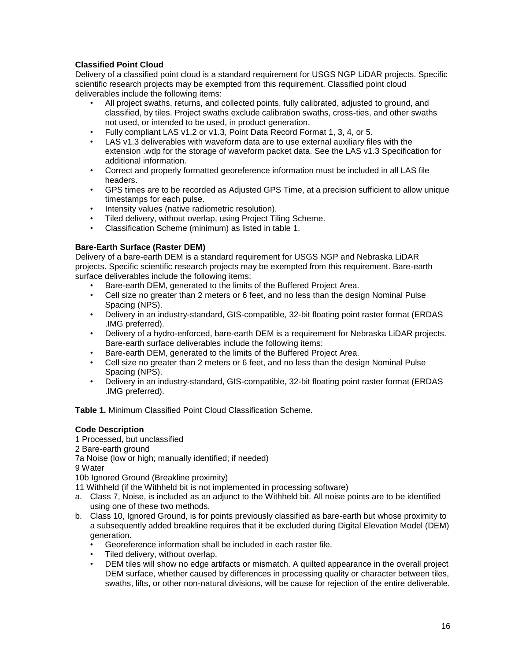# **Classified Point Cloud**

Delivery of a classified point cloud is a standard requirement for USGS NGP LiDAR projects. Specific scientific research projects may be exempted from this requirement. Classified point cloud deliverables include the following items:

- All project swaths, returns, and collected points, fully calibrated, adjusted to ground, and classified, by tiles. Project swaths exclude calibration swaths, cross-ties, and other swaths not used, or intended to be used, in product generation.
- Fully compliant LAS v1.2 or v1.3, Point Data Record Format 1, 3, 4, or 5.
- LAS v1.3 deliverables with waveform data are to use external auxiliary files with the extension .wdp for the storage of waveform packet data. See the LAS v1.3 Specification for additional information.
- Correct and properly formatted georeference information must be included in all LAS file headers.
- GPS times are to be recorded as Adjusted GPS Time, at a precision sufficient to allow unique timestamps for each pulse.
- Intensity values (native radiometric resolution).
- Tiled delivery, without overlap, using Project Tiling Scheme.
- Classification Scheme (minimum) as listed in table 1.

## **Bare-Earth Surface (Raster DEM)**

Delivery of a bare-earth DEM is a standard requirement for USGS NGP and Nebraska LiDAR projects. Specific scientific research projects may be exempted from this requirement. Bare-earth surface deliverables include the following items:

- Bare-earth DEM, generated to the limits of the Buffered Project Area.
- Cell size no greater than 2 meters or 6 feet, and no less than the design Nominal Pulse Spacing (NPS).
- Delivery in an industry-standard, GIS-compatible, 32-bit floating point raster format (ERDAS .IMG preferred).
- Delivery of a hydro-enforced, bare-earth DEM is a requirement for Nebraska LiDAR projects. Bare-earth surface deliverables include the following items:
- Bare-earth DEM, generated to the limits of the Buffered Project Area.
- Cell size no greater than 2 meters or 6 feet, and no less than the design Nominal Pulse Spacing (NPS).
- Delivery in an industry-standard, GIS-compatible, 32-bit floating point raster format (ERDAS .IMG preferred).

**Table 1.** Minimum Classified Point Cloud Classification Scheme.

### **Code Description**

1 Processed, but unclassified

2 Bare-earth ground

7a Noise (low or high; manually identified; if needed)

9 Water

10b Ignored Ground (Breakline proximity)

11 Withheld (if the Withheld bit is not implemented in processing software)

- a. Class 7, Noise, is included as an adjunct to the Withheld bit. All noise points are to be identified using one of these two methods.
- b. Class 10, Ignored Ground, is for points previously classified as bare-earth but whose proximity to a subsequently added breakline requires that it be excluded during Digital Elevation Model (DEM) generation.
	- Georeference information shall be included in each raster file.
	- Tiled delivery, without overlap.
	- DEM tiles will show no edge artifacts or mismatch. A quilted appearance in the overall project DEM surface, whether caused by differences in processing quality or character between tiles, swaths, lifts, or other non-natural divisions, will be cause for rejection of the entire deliverable.